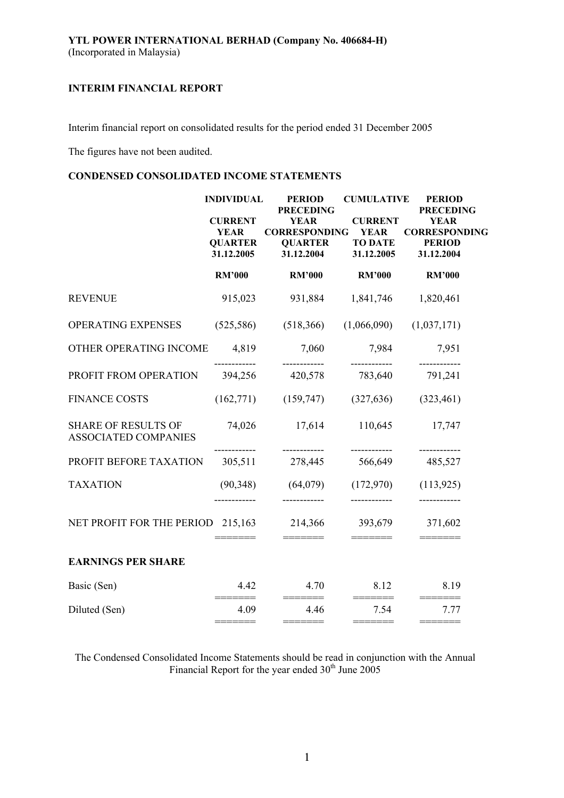Interim financial report on consolidated results for the period ended 31 December 2005

The figures have not been audited.

# **CONDENSED CONSOLIDATED INCOME STATEMENTS**

|                                                           | <b>INDIVIDUAL</b>                                             | <b>PERIOD</b><br><b>PRECEDING</b>                                   | <b>CUMULATIVE</b>                                             | <b>PERIOD</b><br><b>PRECEDING</b>                                  |
|-----------------------------------------------------------|---------------------------------------------------------------|---------------------------------------------------------------------|---------------------------------------------------------------|--------------------------------------------------------------------|
|                                                           | <b>CURRENT</b><br><b>YEAR</b><br><b>QUARTER</b><br>31.12.2005 | <b>YEAR</b><br><b>CORRESPONDING</b><br><b>QUARTER</b><br>31.12.2004 | <b>CURRENT</b><br><b>YEAR</b><br><b>TO DATE</b><br>31.12.2005 | <b>YEAR</b><br><b>CORRESPONDING</b><br><b>PERIOD</b><br>31.12.2004 |
|                                                           | <b>RM'000</b>                                                 | <b>RM'000</b>                                                       | <b>RM'000</b>                                                 | <b>RM'000</b>                                                      |
| <b>REVENUE</b>                                            | 915,023                                                       | 931,884                                                             | 1,841,746                                                     | 1,820,461                                                          |
| OPERATING EXPENSES                                        | (525, 586)                                                    | (518, 366)                                                          | (1,066,090)                                                   | (1,037,171)                                                        |
| OTHER OPERATING INCOME                                    | 4,819                                                         | 7,060                                                               | 7,984                                                         | 7,951                                                              |
| PROFIT FROM OPERATION                                     | 394,256                                                       | 420,578                                                             | 783,640                                                       | 791,241                                                            |
| <b>FINANCE COSTS</b>                                      | (162,771)                                                     | (159, 747)                                                          | (327, 636)                                                    | (323, 461)                                                         |
| <b>SHARE OF RESULTS OF</b><br><b>ASSOCIATED COMPANIES</b> | 74,026                                                        | 17,614                                                              | 110,645                                                       | 17,747                                                             |
| PROFIT BEFORE TAXATION                                    | 305,511                                                       | ------------<br>278,445                                             | ------------<br>566,649                                       | ------------<br>485,527                                            |
| <b>TAXATION</b>                                           | (90, 348)                                                     | (64,079)                                                            | (172,970)                                                     | (113, 925)                                                         |
| NET PROFIT FOR THE PERIOD 215,163                         |                                                               | 214,366                                                             | 393,679                                                       | 371,602                                                            |
| <b>EARNINGS PER SHARE</b>                                 |                                                               |                                                                     |                                                               |                                                                    |
| Basic (Sen)                                               | 4.42                                                          | 4.70                                                                | 8.12                                                          | 8.19                                                               |
| Diluted (Sen)                                             | 4.09                                                          | 4.46<br>=======                                                     | 7.54<br>=======                                               | 7.77                                                               |
|                                                           |                                                               |                                                                     |                                                               |                                                                    |

The Condensed Consolidated Income Statements should be read in conjunction with the Annual Financial Report for the year ended  $30<sup>th</sup>$  June 2005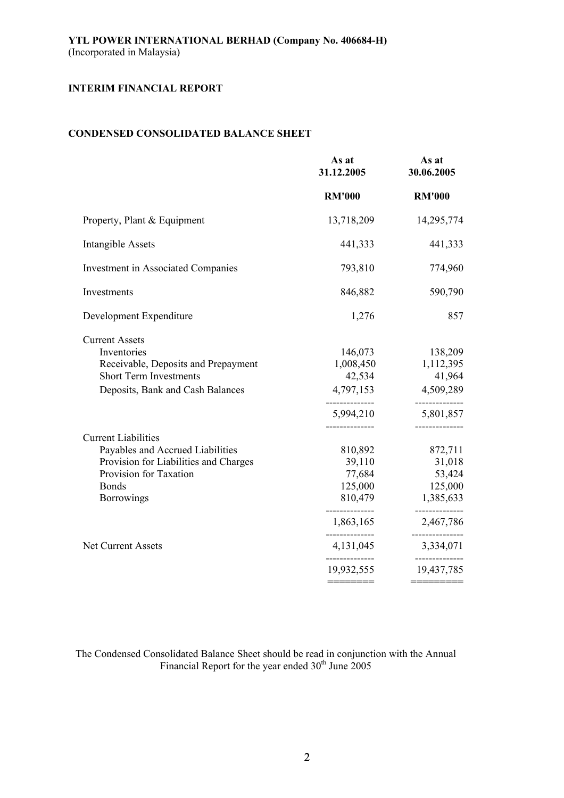# **CONDENSED CONSOLIDATED BALANCE SHEET**

|                                                                                                                                                                 | As at<br>31.12.2005                                                                                | As at<br>30.06.2005                                                                                                |
|-----------------------------------------------------------------------------------------------------------------------------------------------------------------|----------------------------------------------------------------------------------------------------|--------------------------------------------------------------------------------------------------------------------|
|                                                                                                                                                                 | <b>RM'000</b>                                                                                      | <b>RM'000</b>                                                                                                      |
| Property, Plant & Equipment                                                                                                                                     | 13,718,209                                                                                         | 14,295,774                                                                                                         |
| <b>Intangible Assets</b>                                                                                                                                        | 441,333                                                                                            | 441,333                                                                                                            |
| Investment in Associated Companies                                                                                                                              | 793,810                                                                                            | 774,960                                                                                                            |
| Investments                                                                                                                                                     | 846,882                                                                                            | 590,790                                                                                                            |
| Development Expenditure                                                                                                                                         | 1,276                                                                                              | 857                                                                                                                |
| <b>Current Assets</b><br>Inventories<br>Receivable, Deposits and Prepayment<br><b>Short Term Investments</b><br>Deposits, Bank and Cash Balances                | 146,073<br>1,008,450<br>42,534<br>4,797,153<br>5,994,210                                           | 138,209<br>1,112,395<br>41,964<br>4,509,289<br>5,801,857                                                           |
| <b>Current Liabilities</b><br>Payables and Accrued Liabilities<br>Provision for Liabilities and Charges<br>Provision for Taxation<br><b>Bonds</b><br>Borrowings | 810,892<br>39,110<br>77,684<br>125,000<br>810,479<br>--------------<br>1,863,165<br>-------------- | ------------<br>872,711<br>31,018<br>53,424<br>125,000<br>1,385,633<br>------------<br>2,467,786<br>-------------- |
| <b>Net Current Assets</b>                                                                                                                                       | 4, 131, 045                                                                                        | 3,334,071                                                                                                          |
|                                                                                                                                                                 | 19,932,555<br>————————                                                                             | 19,437,785<br>========                                                                                             |

The Condensed Consolidated Balance Sheet should be read in conjunction with the Annual Financial Report for the year ended  $30<sup>th</sup>$  June 2005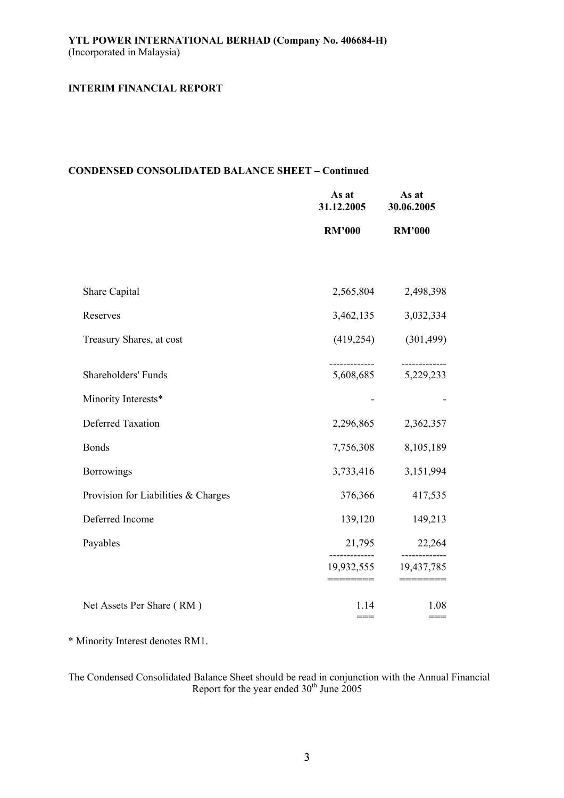# **CONDENSED CONSOLIDATED BALANCE SHEET – Continued**

|                                     | As at<br>31.12.2005 | As at<br>30.06.2005      |
|-------------------------------------|---------------------|--------------------------|
|                                     | <b>RM'000</b>       | <b>RM'000</b>            |
|                                     |                     |                          |
| Share Capital                       | 2,565,804           | 2,498,398                |
| Reserves                            | 3,462,135           | 3,032,334                |
| Treasury Shares, at cost            | (419, 254)          | (301, 499)               |
| Shareholders' Funds                 | 5,608,685           | -----------<br>5,229,233 |
| Minority Interests*                 |                     |                          |
| <b>Deferred Taxation</b>            | 2,296,865           | 2,362,357                |
| <b>Bonds</b>                        | 7,756,308           | 8,105,189                |
| <b>Borrowings</b>                   | 3,733,416           | 3,151,994                |
| Provision for Liabilities & Charges | 376,366             | 417,535                  |
| Deferred Income                     | 139,120             | 149,213                  |
| Payables                            | 21,795              | 22,264                   |
|                                     | 19,932,555          | 19,437,785               |
| Net Assets Per Share (RM)           | 1.14<br>$==$        | 1.08<br>$==$             |

\* Minority Interest denotes RM1.

The Condensed Consolidated Balance Sheet should be read in conjunction with the Annual Financial Report for the year ended  $30<sup>th</sup>$  June 2005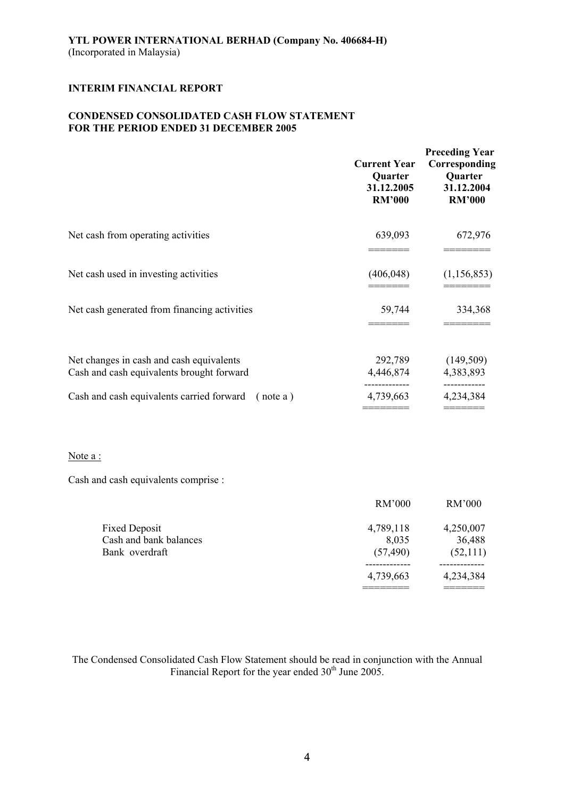# **CONDENSED CONSOLIDATED CASH FLOW STATEMENT FOR THE PERIOD ENDED 31 DECEMBER 2005**

|                                                                                       | <b>Current Year</b><br>Quarter<br>31.12.2005<br><b>RM'000</b> | <b>Preceding Year</b><br>Corresponding<br>Quarter<br>31.12.2004<br><b>RM'000</b> |
|---------------------------------------------------------------------------------------|---------------------------------------------------------------|----------------------------------------------------------------------------------|
| Net cash from operating activities                                                    | 639,093                                                       | 672,976                                                                          |
| Net cash used in investing activities                                                 | (406, 048)                                                    | (1, 156, 853)                                                                    |
| Net cash generated from financing activities                                          | 59,744                                                        | 334,368                                                                          |
| Net changes in cash and cash equivalents<br>Cash and cash equivalents brought forward | 292,789<br>4,446,874                                          | (149, 509)<br>4,383,893                                                          |
| Cash and cash equivalents carried forward<br>(note a)                                 | 4,739,663                                                     | ---------<br>4,234,384                                                           |

======== =======

### Note a :

Cash and cash equivalents comprise :

|                        | RM'000    | RM'000    |
|------------------------|-----------|-----------|
| <b>Fixed Deposit</b>   | 4,789,118 | 4,250,007 |
| Cash and bank balances | 8,035     | 36,488    |
| Bank overdraft         | (57, 490) | (52,111)  |
|                        |           |           |
|                        | 4,739,663 | 4,234,384 |
|                        |           |           |

The Condensed Consolidated Cash Flow Statement should be read in conjunction with the Annual Financial Report for the year ended  $30<sup>th</sup>$  June 2005.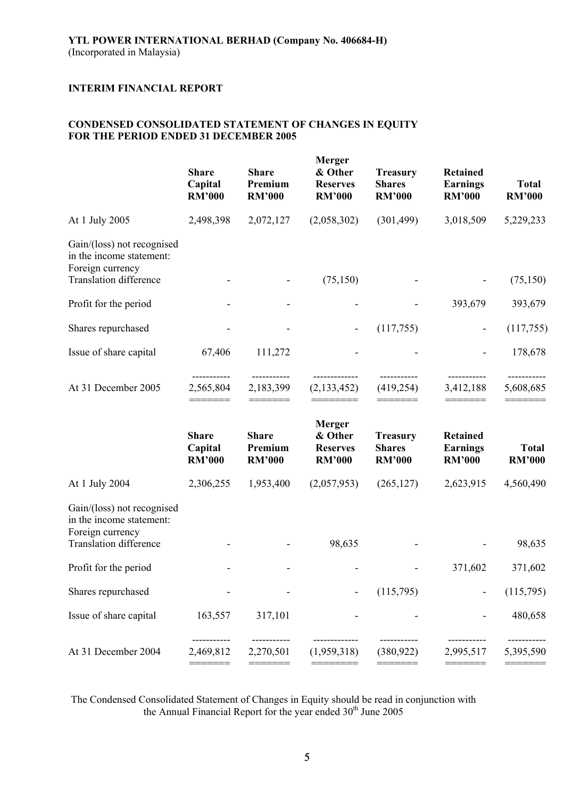# **CONDENSED CONSOLIDATED STATEMENT OF CHANGES IN EQUITY FOR THE PERIOD ENDED 31 DECEMBER 2005**

|                                                                                                             | <b>Share</b><br>Capital<br><b>RM'000</b> | <b>Share</b><br>Premium<br><b>RM'000</b> | <b>Merger</b><br>& Other<br><b>Reserves</b><br><b>RM'000</b> | <b>Treasury</b><br><b>Shares</b><br><b>RM'000</b> | <b>Retained</b><br><b>Earnings</b><br><b>RM'000</b> | <b>Total</b><br><b>RM'000</b> |
|-------------------------------------------------------------------------------------------------------------|------------------------------------------|------------------------------------------|--------------------------------------------------------------|---------------------------------------------------|-----------------------------------------------------|-------------------------------|
| At 1 July 2005                                                                                              | 2,498,398                                | 2,072,127                                | (2,058,302)                                                  | (301, 499)                                        | 3,018,509                                           | 5,229,233                     |
| Gain/(loss) not recognised<br>in the income statement:<br>Foreign currency<br><b>Translation difference</b> |                                          |                                          |                                                              |                                                   |                                                     |                               |
|                                                                                                             |                                          |                                          | (75,150)                                                     |                                                   |                                                     | (75,150)                      |
| Profit for the period                                                                                       |                                          |                                          |                                                              |                                                   | 393,679                                             | 393,679                       |
| Shares repurchased                                                                                          |                                          |                                          |                                                              | (117,755)                                         | $\overline{\phantom{a}}$                            | (117,755)                     |
| Issue of share capital                                                                                      | 67,406                                   | 111,272                                  |                                                              |                                                   |                                                     | 178,678                       |
| At 31 December 2005                                                                                         | 2,565,804<br>———————                     | 2,183,399                                | (2,133,452)                                                  | (419, 254)                                        | 3,412,188                                           | 5,608,685                     |
|                                                                                                             | <b>Share</b><br>Capital<br><b>RM'000</b> | <b>Share</b><br>Premium<br><b>RM'000</b> | <b>Merger</b><br>& Other<br><b>Reserves</b><br><b>RM'000</b> | <b>Treasury</b><br><b>Shares</b><br><b>RM'000</b> | <b>Retained</b><br><b>Earnings</b><br><b>RM'000</b> | <b>Total</b><br><b>RM'000</b> |
| At 1 July 2004                                                                                              | 2,306,255                                | 1,953,400                                | (2,057,953)                                                  | (265, 127)                                        | 2,623,915                                           | 4,560,490                     |
| Gain/(loss) not recognised<br>in the income statement:<br>Foreign currency                                  |                                          |                                          |                                                              |                                                   |                                                     |                               |
| <b>Translation difference</b>                                                                               |                                          |                                          | 98,635                                                       |                                                   |                                                     | 98,635                        |
| Profit for the period                                                                                       |                                          |                                          |                                                              |                                                   | 371,602                                             | 371,602                       |
| Shares repurchased                                                                                          |                                          |                                          |                                                              | (115,795)                                         |                                                     | (115,795)                     |
| Issue of share capital                                                                                      | 163,557                                  | 317,101                                  |                                                              |                                                   |                                                     | 480,658                       |
| At 31 December 2004                                                                                         | 2,469,812                                | 2,270,501                                | (1,959,318)                                                  | (380, 922)                                        | 2,995,517                                           | 5,395,590                     |
|                                                                                                             |                                          |                                          |                                                              |                                                   |                                                     |                               |

The Condensed Consolidated Statement of Changes in Equity should be read in conjunction with the Annual Financial Report for the year ended  $30<sup>th</sup>$  June 2005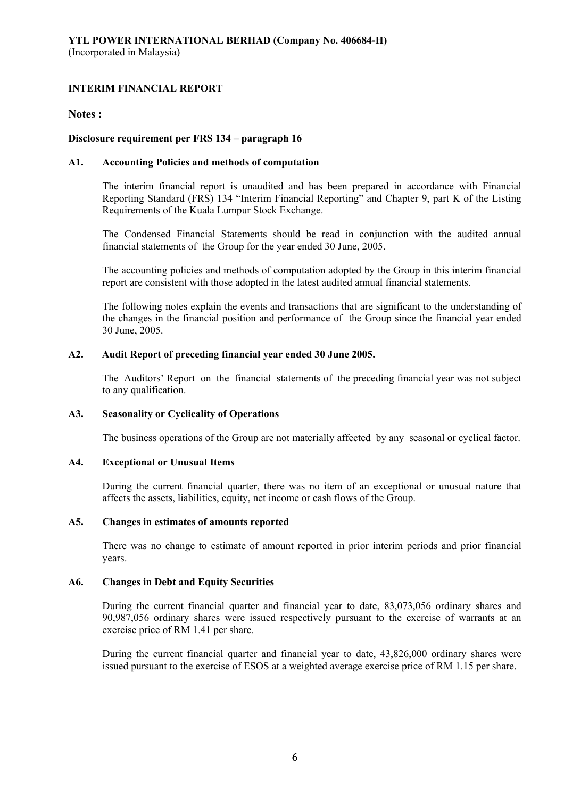## **Notes :**

# **Disclosure requirement per FRS 134 – paragraph 16**

### **A1. Accounting Policies and methods of computation**

The interim financial report is unaudited and has been prepared in accordance with Financial Reporting Standard (FRS) 134 "Interim Financial Reporting" and Chapter 9, part K of the Listing Requirements of the Kuala Lumpur Stock Exchange.

The Condensed Financial Statements should be read in conjunction with the audited annual financial statements of the Group for the year ended 30 June, 2005.

The accounting policies and methods of computation adopted by the Group in this interim financial report are consistent with those adopted in the latest audited annual financial statements.

The following notes explain the events and transactions that are significant to the understanding of the changes in the financial position and performance of the Group since the financial year ended 30 June, 2005.

### **A2. Audit Report of preceding financial year ended 30 June 2005.**

The Auditors' Report on the financial statements of the preceding financial year was not subject to any qualification.

### **A3. Seasonality or Cyclicality of Operations**

The business operations of the Group are not materially affected by any seasonal or cyclical factor.

# **A4. Exceptional or Unusual Items**

During the current financial quarter, there was no item of an exceptional or unusual nature that affects the assets, liabilities, equity, net income or cash flows of the Group.

### **A5. Changes in estimates of amounts reported**

There was no change to estimate of amount reported in prior interim periods and prior financial years.

### **A6. Changes in Debt and Equity Securities**

During the current financial quarter and financial year to date, 83,073,056 ordinary shares and 90,987,056 ordinary shares were issued respectively pursuant to the exercise of warrants at an exercise price of RM 1.41 per share.

During the current financial quarter and financial year to date, 43,826,000 ordinary shares were issued pursuant to the exercise of ESOS at a weighted average exercise price of RM 1.15 per share.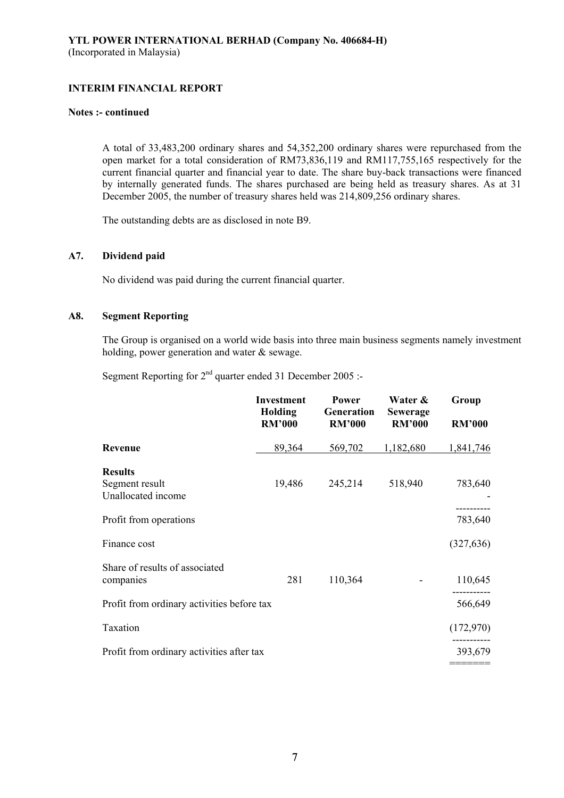#### **Notes :- continued**

A total of 33,483,200 ordinary shares and 54,352,200 ordinary shares were repurchased from the open market for a total consideration of RM73,836,119 and RM117,755,165 respectively for the current financial quarter and financial year to date. The share buy-back transactions were financed by internally generated funds. The shares purchased are being held as treasury shares. As at 31 December 2005, the number of treasury shares held was 214,809,256 ordinary shares.

The outstanding debts are as disclosed in note B9.

# **A7. Dividend paid**

No dividend was paid during the current financial quarter.

# **A8. Segment Reporting**

The Group is organised on a world wide basis into three main business segments namely investment holding, power generation and water & sewage.

Segment Reporting for  $2<sup>nd</sup>$  quarter ended 31 December 2005 :-

|                                             | <b>Investment</b><br>Holding<br><b>RM'000</b> | <b>Power</b><br>Generation<br><b>RM'000</b> | Water &<br><b>Sewerage</b><br><b>RM'000</b> | Group<br><b>RM'000</b> |
|---------------------------------------------|-----------------------------------------------|---------------------------------------------|---------------------------------------------|------------------------|
| Revenue                                     | 89,364                                        | 569,702                                     | 1,182,680                                   | 1,841,746              |
| <b>Results</b><br>Segment result            | 19,486                                        | 245,214                                     | 518,940                                     | 783,640                |
| Unallocated income                          |                                               |                                             |                                             |                        |
| Profit from operations                      |                                               |                                             |                                             | 783,640                |
| Finance cost                                |                                               |                                             |                                             | (327, 636)             |
| Share of results of associated<br>companies | 281                                           | 110,364                                     |                                             | 110,645                |
| Profit from ordinary activities before tax  |                                               |                                             |                                             | 566,649                |
| Taxation                                    |                                               |                                             |                                             | (172,970)              |
| Profit from ordinary activities after tax   |                                               |                                             |                                             | 393,679                |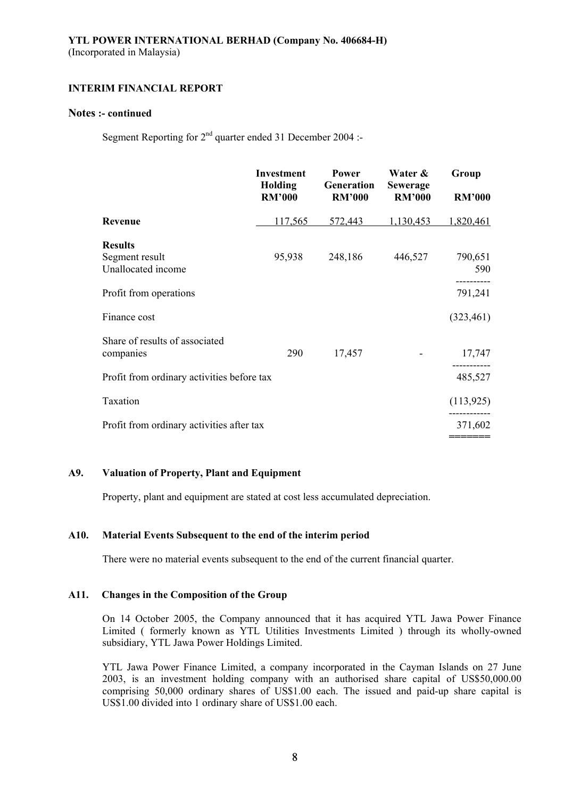### **Notes :- continued**

Segment Reporting for  $2^{nd}$  quarter ended 31 December 2004 :-

|                                                        | <b>Investment</b><br>Holding<br><b>RM'000</b> | <b>Power</b><br>Generation<br><b>RM'000</b> | Water &<br><b>Sewerage</b><br><b>RM'000</b> | Group<br><b>RM'000</b> |
|--------------------------------------------------------|-----------------------------------------------|---------------------------------------------|---------------------------------------------|------------------------|
| Revenue                                                | 117,565                                       | 572,443                                     | 1,130,453                                   | 1,820,461              |
| <b>Results</b><br>Segment result<br>Unallocated income | 95,938                                        | 248,186                                     | 446,527                                     | 790,651<br>590         |
| Profit from operations                                 |                                               |                                             |                                             | 791,241                |
| Finance cost                                           |                                               |                                             |                                             | (323, 461)             |
| Share of results of associated<br>companies            | 290                                           | 17,457                                      |                                             | 17,747                 |
| Profit from ordinary activities before tax             |                                               |                                             |                                             | 485,527                |
| Taxation                                               |                                               |                                             |                                             | (113, 925)             |
| Profit from ordinary activities after tax              |                                               |                                             |                                             | 371,602                |

### **A9. Valuation of Property, Plant and Equipment**

Property, plant and equipment are stated at cost less accumulated depreciation.

### **A10. Material Events Subsequent to the end of the interim period**

There were no material events subsequent to the end of the current financial quarter.

### **A11. Changes in the Composition of the Group**

On 14 October 2005, the Company announced that it has acquired YTL Jawa Power Finance Limited ( formerly known as YTL Utilities Investments Limited ) through its wholly-owned subsidiary, YTL Jawa Power Holdings Limited.

YTL Jawa Power Finance Limited, a company incorporated in the Cayman Islands on 27 June 2003, is an investment holding company with an authorised share capital of US\$50,000.00 comprising 50,000 ordinary shares of US\$1.00 each. The issued and paid-up share capital is US\$1.00 divided into 1 ordinary share of US\$1.00 each.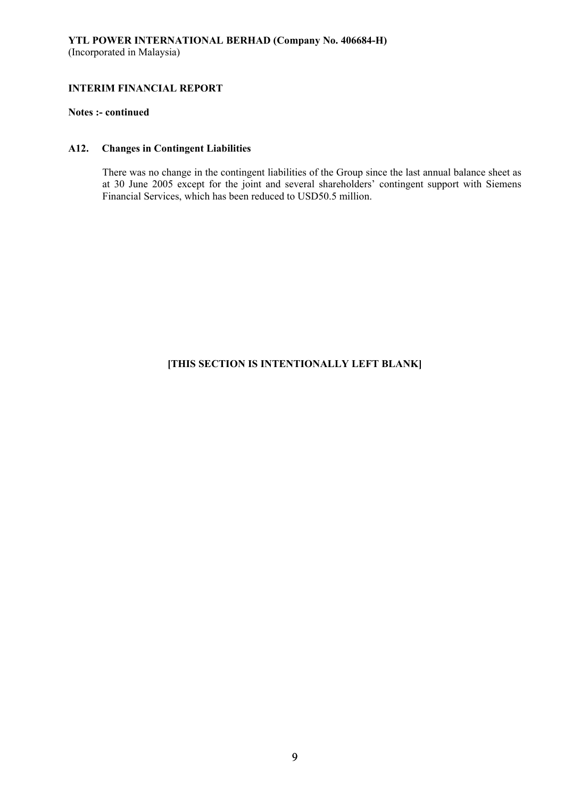# **Notes :- continued**

# **A12. Changes in Contingent Liabilities**

There was no change in the contingent liabilities of the Group since the last annual balance sheet as at 30 June 2005 except for the joint and several shareholders' contingent support with Siemens Financial Services, which has been reduced to USD50.5 million.

# **[THIS SECTION IS INTENTIONALLY LEFT BLANK]**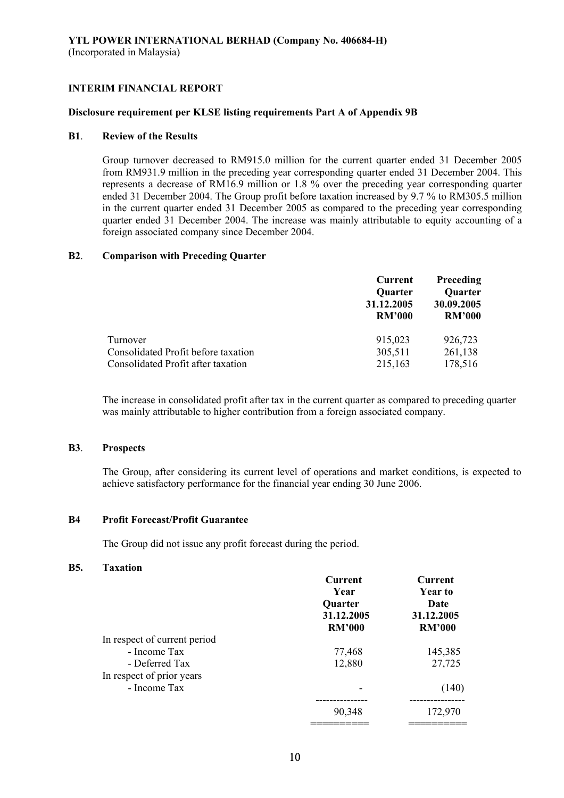#### **Disclosure requirement per KLSE listing requirements Part A of Appendix 9B**

### **B1**. **Review of the Results**

Group turnover decreased to RM915.0 million for the current quarter ended 31 December 2005 from RM931.9 million in the preceding year corresponding quarter ended 31 December 2004. This represents a decrease of RM16.9 million or 1.8 % over the preceding year corresponding quarter ended 31 December 2004. The Group profit before taxation increased by 9.7 % to RM305.5 million in the current quarter ended 31 December 2005 as compared to the preceding year corresponding quarter ended 31 December 2004. The increase was mainly attributable to equity accounting of a foreign associated company since December 2004.

#### **B2**. **Comparison with Preceding Quarter**

|                                     | Current       | <b>Preceding</b><br><b>Quarter</b> |  |
|-------------------------------------|---------------|------------------------------------|--|
|                                     | Quarter       |                                    |  |
|                                     | 31.12.2005    | 30.09.2005                         |  |
|                                     | <b>RM'000</b> | <b>RM'000</b>                      |  |
| Turnover                            | 915,023       | 926,723                            |  |
| Consolidated Profit before taxation | 305,511       | 261,138                            |  |
| Consolidated Profit after taxation  | 215,163       | 178,516                            |  |

The increase in consolidated profit after tax in the current quarter as compared to preceding quarter was mainly attributable to higher contribution from a foreign associated company.

#### **B3**. **Prospects**

The Group, after considering its current level of operations and market conditions, is expected to achieve satisfactory performance for the financial year ending 30 June 2006.

#### **B4 Profit Forecast/Profit Guarantee**

The Group did not issue any profit forecast during the period.

### **B5. Taxation**

|                              | <b>Current</b><br>Year<br>Quarter<br>31.12.2005<br><b>RM'000</b> | <b>Current</b><br><b>Year to</b><br><b>Date</b><br>31.12.2005<br><b>RM'000</b> |
|------------------------------|------------------------------------------------------------------|--------------------------------------------------------------------------------|
| In respect of current period |                                                                  |                                                                                |
| - Income Tax                 | 77,468                                                           | 145,385                                                                        |
| - Deferred Tax               | 12,880                                                           | 27,725                                                                         |
| In respect of prior years    |                                                                  |                                                                                |
| - Income Tax                 | -                                                                | (140)                                                                          |
|                              |                                                                  |                                                                                |
|                              | 90,348                                                           | 172,970                                                                        |
|                              |                                                                  |                                                                                |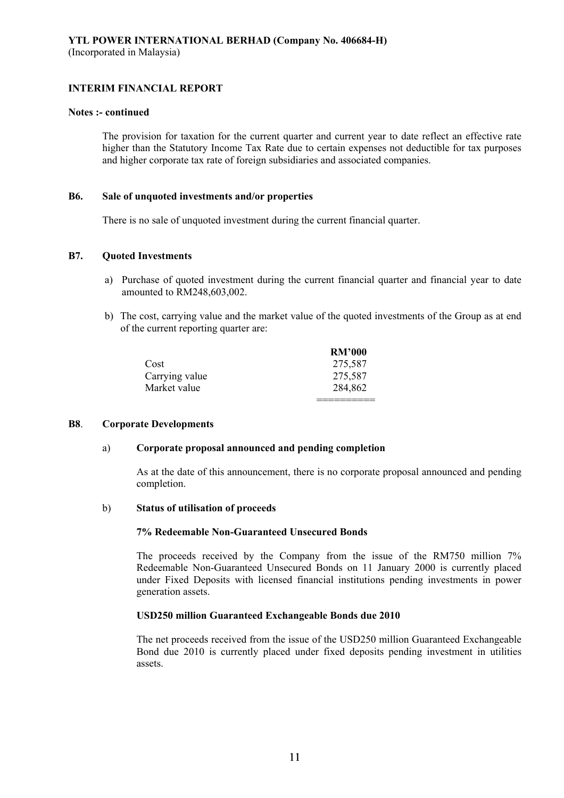#### **Notes :- continued**

The provision for taxation for the current quarter and current year to date reflect an effective rate higher than the Statutory Income Tax Rate due to certain expenses not deductible for tax purposes and higher corporate tax rate of foreign subsidiaries and associated companies.

### **B6. Sale of unquoted investments and/or properties**

There is no sale of unquoted investment during the current financial quarter.

#### **B7. Quoted Investments**

- a) Purchase of quoted investment during the current financial quarter and financial year to date amounted to RM248,603,002.
- b) The cost, carrying value and the market value of the quoted investments of the Group as at end of the current reporting quarter are:

|                | <b>RM'000</b> |
|----------------|---------------|
| Cost           | 275,587       |
| Carrying value | 275,587       |
| Market value   | 284,862       |
|                |               |

#### **B8**. **Corporate Developments**

### a) **Corporate proposal announced and pending completion**

As at the date of this announcement, there is no corporate proposal announced and pending completion.

#### b) **Status of utilisation of proceeds**

#### **7% Redeemable Non-Guaranteed Unsecured Bonds**

The proceeds received by the Company from the issue of the RM750 million 7% Redeemable Non-Guaranteed Unsecured Bonds on 11 January 2000 is currently placed under Fixed Deposits with licensed financial institutions pending investments in power generation assets.

### **USD250 million Guaranteed Exchangeable Bonds due 2010**

The net proceeds received from the issue of the USD250 million Guaranteed Exchangeable Bond due 2010 is currently placed under fixed deposits pending investment in utilities assets.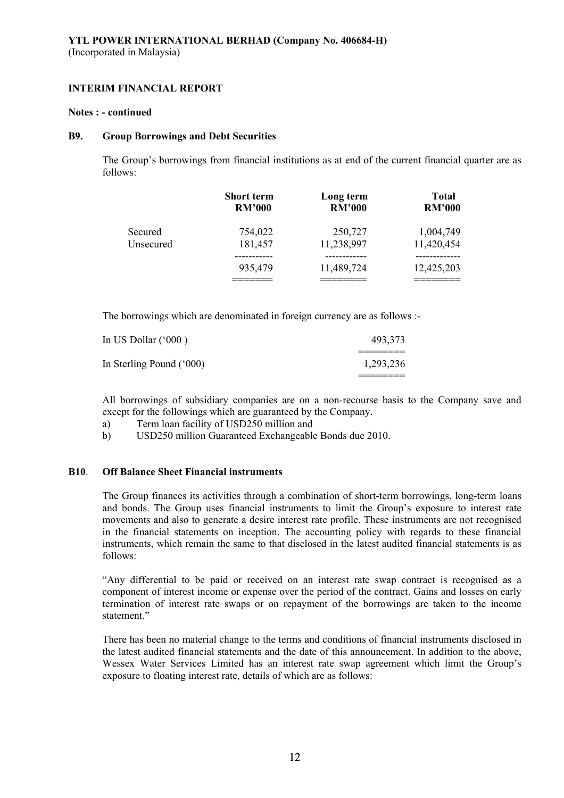#### **Notes : - continued**

### **B9. Group Borrowings and Debt Securities**

The Group's borrowings from financial institutions as at end of the current financial quarter are as follows:

|           | <b>Short term</b> | Long term     | <b>Total</b>  |
|-----------|-------------------|---------------|---------------|
|           | <b>RM'000</b>     | <b>RM'000</b> | <b>RM'000</b> |
| Secured   | 754,022           | 250,727       | 1,004,749     |
| Unsecured | 181,457           | 11,238,997    | 11,420,454    |
|           | 935,479           | 11,489,724    | 12,425,203    |

The borrowings which are denominated in foreign currency are as follows :-

| In US Dollar $(600)$     | 493,373   |
|--------------------------|-----------|
|                          |           |
| In Sterling Pound ('000) | 1,293,236 |
|                          |           |

All borrowings of subsidiary companies are on a non-recourse basis to the Company save and except for the followings which are guaranteed by the Company.

- a) Term loan facility of USD250 million and
- b) USD250 million Guaranteed Exchangeable Bonds due 2010.

# **B10**. **Off Balance Sheet Financial instruments**

The Group finances its activities through a combination of short-term borrowings, long-term loans and bonds. The Group uses financial instruments to limit the Group's exposure to interest rate movements and also to generate a desire interest rate profile. These instruments are not recognised in the financial statements on inception. The accounting policy with regards to these financial instruments, which remain the same to that disclosed in the latest audited financial statements is as follows:

"Any differential to be paid or received on an interest rate swap contract is recognised as a component of interest income or expense over the period of the contract. Gains and losses on early termination of interest rate swaps or on repayment of the borrowings are taken to the income statement<sup>"</sup>

There has been no material change to the terms and conditions of financial instruments disclosed in the latest audited financial statements and the date of this announcement. In addition to the above, Wessex Water Services Limited has an interest rate swap agreement which limit the Group's exposure to floating interest rate, details of which are as follows: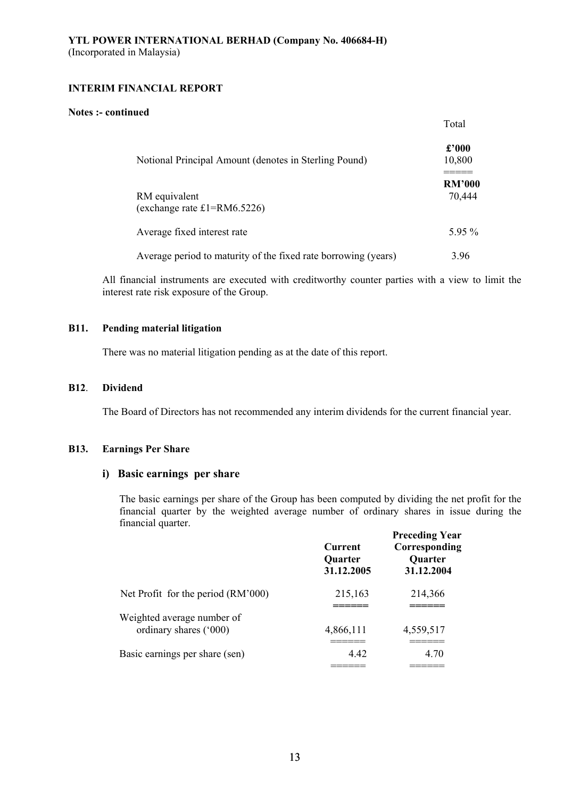#### **Notes :- continued**

|                                                                | Total                    |
|----------------------------------------------------------------|--------------------------|
| Notional Principal Amount (denotes in Sterling Pound)          | $\pounds$ '000<br>10,800 |
| RM equivalent<br>(exchange rate $£1=RM6.5226$ )                | <b>RM'000</b><br>70,444  |
| Average fixed interest rate                                    | 5.95 $%$                 |
| Average period to maturity of the fixed rate borrowing (years) | 3.96                     |

All financial instruments are executed with creditworthy counter parties with a view to limit the interest rate risk exposure of the Group.

# **B11. Pending material litigation**

There was no material litigation pending as at the date of this report.

#### **B12**. **Dividend**

The Board of Directors has not recommended any interim dividends for the current financial year.

#### **B13. Earnings Per Share**

# **i) Basic earnings per share**

The basic earnings per share of the Group has been computed by dividing the net profit for the financial quarter by the weighted average number of ordinary shares in issue during the financial quarter.

|                                                      | <b>Current</b><br><b>Quarter</b><br>31.12.2005 | <b>Preceding Year</b><br>Corresponding<br><b>Quarter</b><br>31.12.2004 |
|------------------------------------------------------|------------------------------------------------|------------------------------------------------------------------------|
| Net Profit for the period (RM'000)                   | 215,163                                        | 214,366                                                                |
| Weighted average number of<br>ordinary shares ('000) | 4,866,111                                      | 4,559,517                                                              |
| Basic earnings per share (sen)                       | 4.42                                           | 4.70                                                                   |